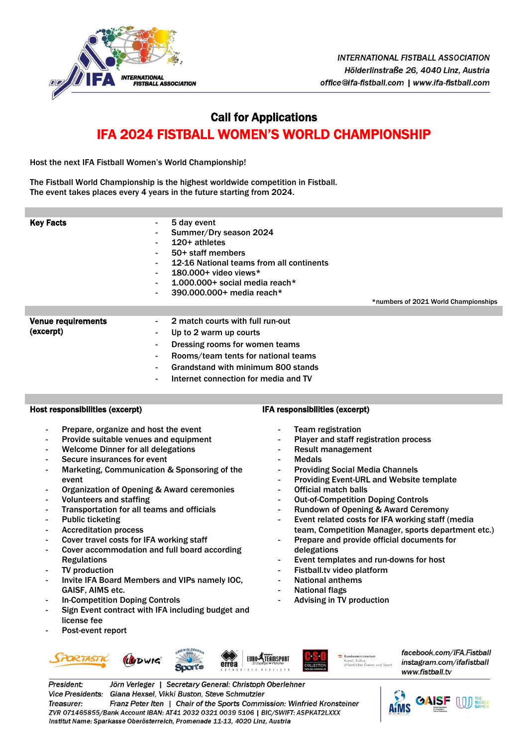

# Call for Applications IFA 2024 FISTBALL WOMEN'S WORLD CHAMPIONSHIP

Host the next IFA Fistball Women's World Championship!

The Fistball World Championship is the highest worldwide competition in Fistball. The event takes places every 4 years in the future starting from 2024.

| <b>Key Facts</b>          | 5 day event<br>$\blacksquare$<br>Summer/Dry season 2024<br>۰<br>$120+$ athletes<br>$\blacksquare$<br>50+ staff members<br>$\sim$<br>12-16 National teams from all continents<br>$\blacksquare$<br>$180.000 +$ video views*<br>$\sim$<br>1.000.000+ social media reach*<br>$\blacksquare$<br>390.000.000+ media reach*<br>$\blacksquare$ | *numbers of 2021 World Championships |
|---------------------------|-----------------------------------------------------------------------------------------------------------------------------------------------------------------------------------------------------------------------------------------------------------------------------------------------------------------------------------------|--------------------------------------|
|                           |                                                                                                                                                                                                                                                                                                                                         |                                      |
| <b>Venue requirements</b> | 2 match courts with full run-out<br>$\sim$                                                                                                                                                                                                                                                                                              |                                      |
| (excerpt)                 | Up to 2 warm up courts<br>$\blacksquare$                                                                                                                                                                                                                                                                                                |                                      |
|                           | Dressing rooms for women teams<br>٠                                                                                                                                                                                                                                                                                                     |                                      |
|                           | Rooms/team tents for national teams<br>٠                                                                                                                                                                                                                                                                                                |                                      |
|                           | Grandstand with minimum 800 stands<br>$\blacksquare$                                                                                                                                                                                                                                                                                    |                                      |
|                           |                                                                                                                                                                                                                                                                                                                                         |                                      |

Internet connection for media and TV

## Host responsibilities (excerpt)

- Prepare, organize and host the event
- Provide suitable venues and equipment
- Welcome Dinner for all delegations
- Secure insurances for event
- Marketing, Communication & Sponsoring of the event
- Organization of Opening & Award ceremonies
- Volunteers and staffing
- Transportation for all teams and officials
- Public ticketing
- Accreditation process
- Cover travel costs for IFA working staff
- Cover accommodation and full board according **Regulations**
- TV production
- Invite IFA Board Members and VIPs namely IOC, GAISF, AIMS etc.
- In-Competition Doping Controls
- Sign Event contract with IFA including budget and license fee
- Post-event report
	- UUDWIG



 $\equiv$  Bundesministerium Kunst, Kultur,<br>öffentlicher Dienst und Spor facebook.com/IFA.Fistball instagram.com/ifafistball www.fistball.tv



President: Jörn Verleger | Secretary General: Christoph Oberlehner Vice Presidents: Giana Hexsel, Vikki Buston, Steve Schmutzler Treasurer: Franz Peter Iten | Chair of the Sports Commission: Winfried Kronsteiner ZVR 071465855/Bank Account IBAN: AT41 2032 0321 0039 5106 | BIC/SWIFT: ASPKAT2LXXX Institut Name: Sparkasse Oberösterreich, Promenade 11-13, 4020 Linz, Austria

IFA responsibilities (excerpt)

- Team registration
- Player and staff registration process
- Result management
- **Medals**
- Providing Social Media Channels
- Providing Event-URL and Website template
- Official match balls
- **Out-of-Competition Doping Controls**
- Rundown of Opening & Award Ceremony
- Event related costs for IFA working staff (media team, Competition Manager, sports department etc.)
- Prepare and provide official documents for delegations
- Event templates and run-downs for host
- Fistball.tv video platform
- National anthems
- National flags
- Advising in TV production